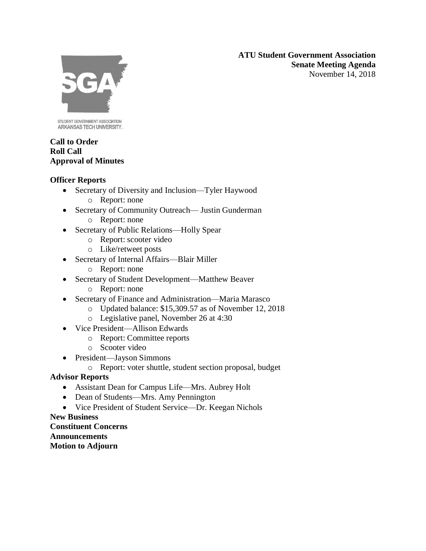**ATU Student Government Association Senate Meeting Agenda** November 14, 2018



STUDENT GOVERNMENT ASSOCIATION ARKANSAS TECH UNIVERSITY.

## **Call to Order Roll Call Approval of Minutes**

# **Officer Reports**

- Secretary of Diversity and Inclusion—Tyler Haywood
	- o Report: none
- Secretary of Community Outreach— Justin Gunderman
	- o Report: none
- Secretary of Public Relations—Holly Spear
	- o Report: scooter video
	- o Like/retweet posts
- Secretary of Internal Affairs—Blair Miller
	- o Report: none
- Secretary of Student Development—Matthew Beaver
	- o Report: none
- Secretary of Finance and Administration—Maria Marasco
	- o Updated balance: \$15,309.57 as of November 12, 2018
	- o Legislative panel, November 26 at 4:30
- Vice President—Allison Edwards
	- o Report: Committee reports
	- o Scooter video
- President—Jayson Simmons
	- o Report: voter shuttle, student section proposal, budget

# **Advisor Reports**

- Assistant Dean for Campus Life—Mrs. Aubrey Holt
- Dean of Students—Mrs. Amy Pennington
- Vice President of Student Service—Dr. Keegan Nichols

**New Business Constituent Concerns Announcements Motion to Adjourn**